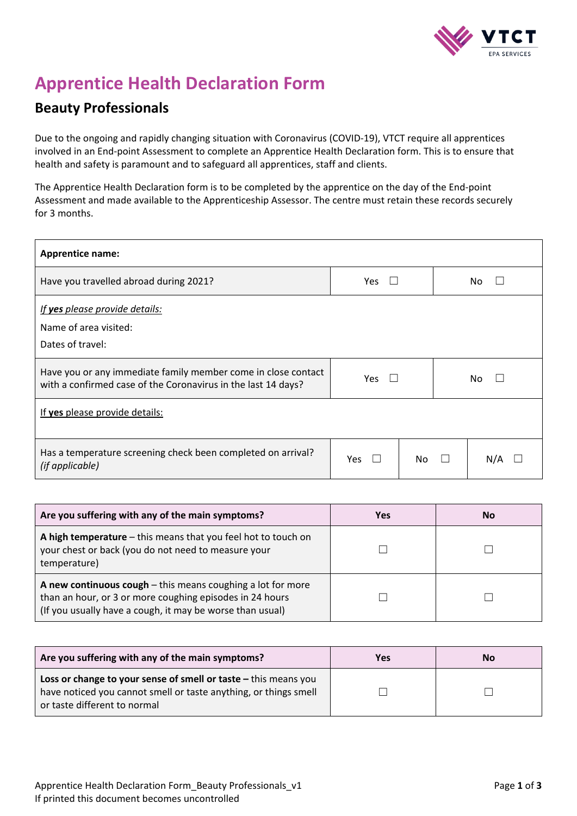

# **Apprentice Health Declaration Form**

# **Beauty Professionals**

Due to the ongoing and rapidly changing situation with Coronavirus (COVID-19), VTCT require all apprentices involved in an End-point Assessment to complete an Apprentice Health Declaration form. This is to ensure that health and safety is paramount and to safeguard all apprentices, staff and clients.

The Apprentice Health Declaration form is to be completed by the apprentice on the day of the End-point Assessment and made available to the Apprenticeship Assessor. The centre must retain these records securely for 3 months.

| <b>Apprentice name:</b>                                                                                                        |            |     |  |     |
|--------------------------------------------------------------------------------------------------------------------------------|------------|-----|--|-----|
| Have you travelled abroad during 2021?                                                                                         | Yes<br>No. |     |  |     |
| If yes please provide details:<br>Name of area visited:<br>Dates of travel:                                                    |            |     |  |     |
| Have you or any immediate family member come in close contact<br>with a confirmed case of the Coronavirus in the last 14 days? | Yes<br>No  |     |  |     |
| If yes please provide details:                                                                                                 |            |     |  |     |
| Has a temperature screening check been completed on arrival?<br>(if applicable)                                                | Yes        | No. |  | N/A |

| Are you suffering with any of the main symptoms?                                                                                                                                       | <b>Yes</b> | No |
|----------------------------------------------------------------------------------------------------------------------------------------------------------------------------------------|------------|----|
| A high temperature $-$ this means that you feel hot to touch on<br>your chest or back (you do not need to measure your<br>temperature)                                                 |            |    |
| A new continuous $cough$ - this means coughing a lot for more<br>than an hour, or 3 or more coughing episodes in 24 hours<br>(If you usually have a cough, it may be worse than usual) |            |    |

| Are you suffering with any of the main symptoms?                                                                                                                      | <b>Yes</b> | No |
|-----------------------------------------------------------------------------------------------------------------------------------------------------------------------|------------|----|
| Loss or change to your sense of smell or taste $-$ this means you<br>have noticed you cannot smell or taste anything, or things smell<br>or taste different to normal |            |    |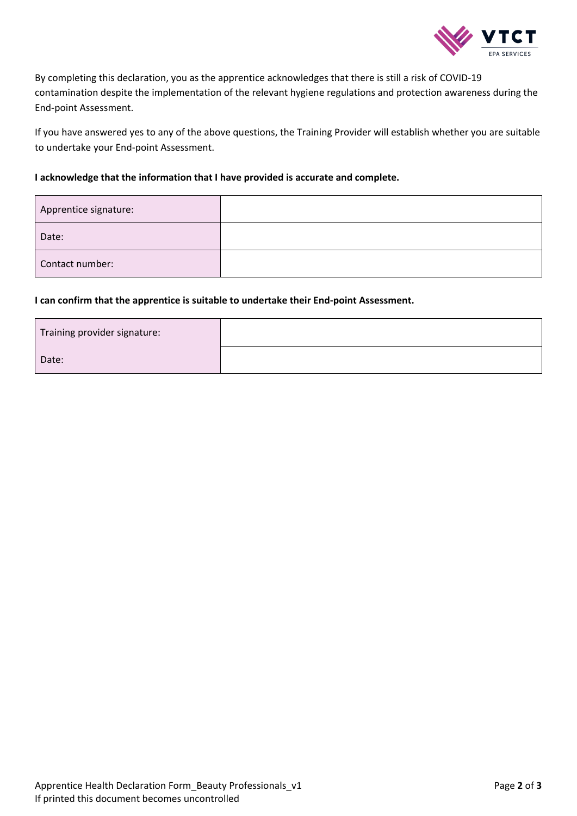

By completing this declaration, you as the apprentice acknowledges that there is still a risk of COVID-19 contamination despite the implementation of the relevant hygiene regulations and protection awareness during the End-point Assessment.

If you have answered yes to any of the above questions, the Training Provider will establish whether you are suitable to undertake your End-point Assessment.

## **I acknowledge that the information that I have provided is accurate and complete.**

| Apprentice signature: |  |
|-----------------------|--|
| Date:                 |  |
| Contact number:       |  |

### **I can confirm that the apprentice is suitable to undertake their End-point Assessment.**

| Training provider signature: |  |
|------------------------------|--|
| Date:                        |  |